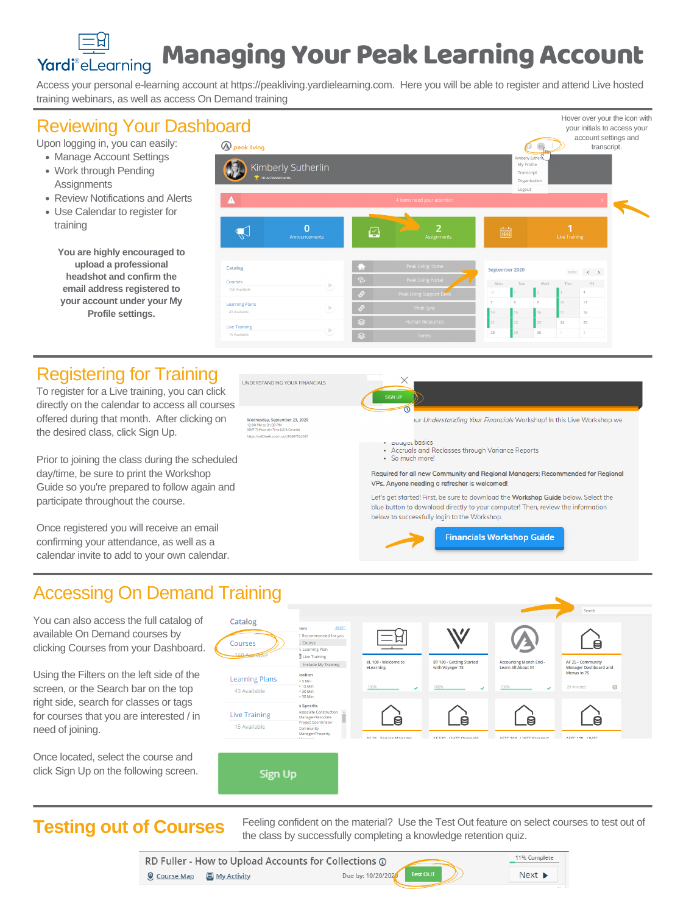To register for a Live training, you can click directly on the calendar to access all courses offered during that month. After clicking on the desired class, click Sign Up.

Prior to joining the class during the scheduled day/time, be sure to print the Workshop Guide so you're prepared to follow again and participate throughout the course.



- Accruals and Reclasses through Variance Reports
- · So much more!

Required for all new Community and Regional Managers; Recommended for Regional

Once registered you will receive an email confirming your attendance, as well as a calendar invite to add to your own calendar. VPs. Anyone needing a refresher is welcomed!

Let's get started! First, be sure to download the Workshop Guide below. Select the blue button to download directly to your computer! Then, review the information below to successfully login to the Workshop.

**Financials Workshop Guide** 

## Managing Your Peak LearningAccount Yardi®eLearning

- Manage Account Settings
- Work through Pending **Assignments**
- Review Notifications and Alerts
- Use Calendar to register for training

Upon logging in, you can easily:

Access your personal e-learning account at https://peakliving.yardielearning.com. Here you will be able to register and attend Live hosted training webinars, as well as access On Demand training

## **Reviewing Your Dashboard**

Feeling confident on the material? Use the Test Out feature on select courses to test out of **Testing out of Courses** Figure Confident on the material? Use the Test Out feature on s<br>the class by successfully completing a knowledge retention quiz.

| RD Fuller - How to Upload Accounts for Collections $\odot$ |                             |                         |  |  |
|------------------------------------------------------------|-----------------------------|-------------------------|--|--|
| <u> இCourse Map    国 My Activity</u>                       | Due by: 10/20/2020 Test OUT | $Next$ $\triangleright$ |  |  |

Sign Up

need of joining.

**You are highly encouraged to upload a professional headshot and confirm the email address registered to your account under your My Profile settings.**

### Accessing On Demand Training Search You can also access the full catalog of Catalog ters **RESET** W available On Demand courses by <sub>1</sub> Recommended for you Courses Course clicking Courses from your Dashboard. Learning Plan Live Training BT 100 - Getting Started eL 100 - Welcome to **Accounting Month End** AF 25 - Community Include My Training **Manager Dashboard and** eLearning with Voyager 7S Learn All About It! Using the Filters on the left side of the Menus in 7S *<u>ration</u>* **Learning Plans**  $< 5$  Min screen, or the Search bar on the top  $< 15$  Min  $^\circledR$ 20 minutes 43 Available < 30 Min > 30 Min right side, search for classes or tags **Specific Associate Construction** for courses that you are interested / in **Live Training** Manager/Associate β  $\boldsymbol{\Theta}$ Project Coordinator 15 Available **Community Manager/Property** AE 26 Carvina Managar **AF 530 LIHTC Overnair** AETC 100 LIHTC Drocher AFTC 110 LIHTC Once located, select the course and click Sign Up on the following screen.

Hover over your the icon with

| oard                                        |                                 |               |                             |                |                                                             |         |                    | your initials to access your            |                 |
|---------------------------------------------|---------------------------------|---------------|-----------------------------|----------------|-------------------------------------------------------------|---------|--------------------|-----------------------------------------|-----------------|
| <b>A</b> peak living                        |                                 |               |                             |                |                                                             |         |                    | account settings and<br>transcript.     |                 |
| <sup>1</sup> / <sub>2</sub> 10 Achievements | Kimberly Sutherlin              |               |                             |                | Kimberly Suther<br>My Profile<br>Transcript<br>Organization |         |                    |                                         |                 |
| $\blacktriangle$                            |                                 |               | 4 items need your attention |                | Logout                                                      |         |                    | $\mathsf{X}_\parallel$                  |                 |
|                                             |                                 |               |                             |                |                                                             |         |                    |                                         | $\blacklozenge$ |
|                                             | $\overline{0}$<br>Announcements | $\boxdot$     | 2<br>Assignments            | 圖              |                                                             |         | и<br>Live Training |                                         |                 |
| Catalog                                     |                                 | ю             | Peak Living Home            | September 2020 |                                                             |         | today              | $\langle\langle\,\cdot\,\rangle\rangle$ |                 |
| Courses<br>160 Available                    | $\blacktriangleright$           | $\Rightarrow$ | Peak Living Portal          | Mon            | Tue                                                         | Wed     | Thu                | Fri                                     |                 |
|                                             |                                 | $\mathcal{S}$ | Peak Living Support Desk    | 31             |                                                             |         |                    | 4                                       |                 |
| <b>Learning Plans</b><br>43 Available       | $\blacktriangleright$           | $\mathcal{O}$ | Peak Sync                   | 7<br> 14       | 8<br>15                                                     | 9<br>16 | 10<br>17           | 11<br>18                                |                 |
|                                             |                                 | ❀             | Human Resources             | 21             | 22                                                          | 23      | 24                 | 25                                      |                 |
| <b>Live Training</b><br>16 Available        | $\overline{\mathcal{L}}$        | ❀             | Forms                       | 28             | 29                                                          | 30      | $\mathbf 1$        | $\overline{2}$                          |                 |

## Registering for Training